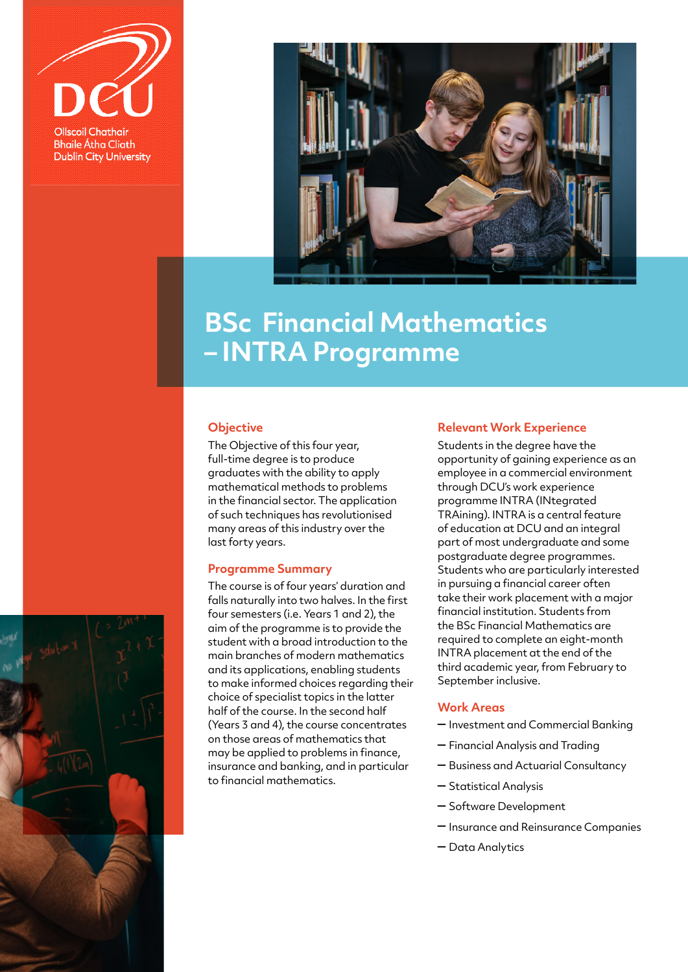



## **BSc Financial Mathematics – INTRA Programme**

#### **Objective**

The Objective of this four year, full-time degree is to produce graduates with the ability to apply mathematical methods to problems in the financial sector. The application of such techniques has revolutionised many areas of this industry over the last forty years.

#### **Programme Summary**

The course is of four years' duration and falls naturally into two halves. In the first four semesters (i.e. Years 1 and 2), the aim of the programme is to provide the student with a broad introduction to the main branches of modern mathematics and its applications, enabling students to make informed choices regarding their choice of specialist topics in the latter half of the course. In the second half (Years 3 and 4), the course concentrates on those areas of mathematics that may be applied to problems in finance, insurance and banking, and in particular to financial mathematics.

#### **Relevant Work Experience**

Students in the degree have the opportunity of gaining experience as an employee in a commercial environment through DCU's work experience programme INTRA (INtegrated TRAining). INTRA is a central feature of education at DCU and an integral part of most undergraduate and some postgraduate degree programmes. Students who are particularly interested in pursuing a financial career often take their work placement with a major financial institution. Students from the BSc Financial Mathematics are required to complete an eight-month INTRA placement at the end of the third academic year, from February to September inclusive.

### **Work Areas**

- Investment and Commercial Banking
- Financial Analysis and Trading
- Business and Actuarial Consultancy
- Statistical Analysis
- Software Development
- Insurance and Reinsurance Companies
- Data Analytics